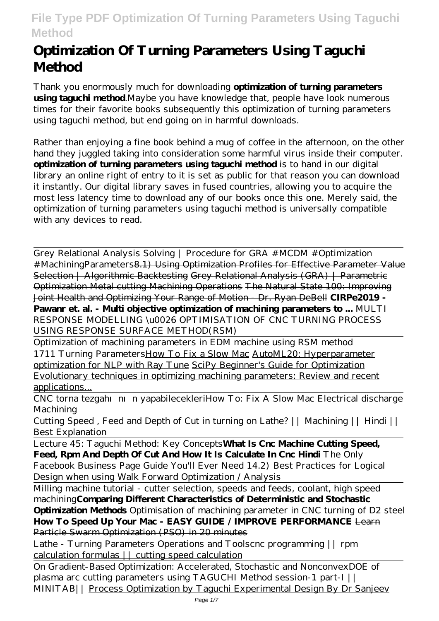# **Optimization Of Turning Parameters Using Taguchi Method**

Thank you enormously much for downloading **optimization of turning parameters using taguchi method**.Maybe you have knowledge that, people have look numerous times for their favorite books subsequently this optimization of turning parameters using taguchi method, but end going on in harmful downloads.

Rather than enjoying a fine book behind a mug of coffee in the afternoon, on the other hand they juggled taking into consideration some harmful virus inside their computer. **optimization of turning parameters using taguchi method** is to hand in our digital library an online right of entry to it is set as public for that reason you can download it instantly. Our digital library saves in fused countries, allowing you to acquire the most less latency time to download any of our books once this one. Merely said, the optimization of turning parameters using taguchi method is universally compatible with any devices to read.

Grey Relational Analysis Solving | Procedure for GRA #MCDM #Optimization # MachiningParameters 8.1) Using Optimization Profiles for Effective Parameter Value Selection | Algorithmic Backtesting Grey Relational Analysis (GRA) | Parametric Optimization Metal cutting Machining Operations The Natural State 100: Improving Joint Health and Optimizing Your Range of Motion - Dr. Ryan DeBell **CIRPe2019 - Pawanr et. al. - Multi objective optimization of machining parameters to ...** MULTI RESPONSE MODELLING \u0026 OPTIMISATION OF CNC TURNING PROCESS USING RESPONSE SURFACE METHOD(RSM)

Optimization of machining parameters in EDM machine using RSM method

1711 Turning Parameters How To Fix a Slow Mac AutoML20: Hyperparameter optimization for NLP with Ray Tune SciPy Beginner's Guide for Optimization Evolutionary techniques in optimizing machining parameters: Review and recent applications...

CNC torna tezgahının yapabilecekleri*How To: Fix A Slow Mac Electrical discharge Machining*

Cutting Speed , Feed and Depth of Cut in turning on Lathe? || Machining || Hindi || Best Explanation

Lecture 45: Taguchi Method: Key Concepts**What Is Cnc Machine Cutting Speed, Feed, Rpm And Depth Of Cut And How It Is Calculate In Cnc Hindi** *The Only Facebook Business Page Guide You'll Ever Need 14.2) Best Practices for Logical Design when using Walk Forward Optimization / Analysis*

Milling machine tutorial - cutter selection, speeds and feeds, coolant, high speed machining**Comparing Different Characteristics of Deterministic and Stochastic Optimization Methods** Optimisation of machining parameter in CNC turning of D2 steel **How To Speed Up Your Mac - EASY GUIDE / IMPROVE PERFORMANCE** Learn Particle Swarm Optimization (PSO) in 20 minutes

Lathe - Turning Parameters Operations and Toolscnc programming  $||$  rpm calculation formulas || cutting speed calculation

On Gradient-Based Optimization: Accelerated, Stochastic and Nonconvex*DOE of plasma arc cutting parameters using TAGUCHI Method session-1 part-I || MINITAB||* Process Optimization by Taguchi Experimental Design By Dr Sanjeev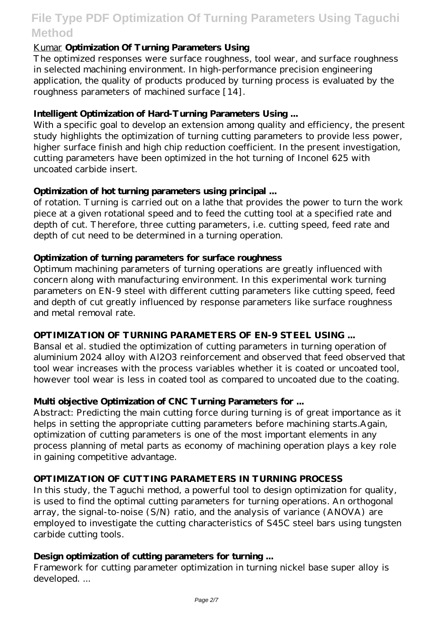## Kumar **Optimization Of Turning Parameters Using**

The optimized responses were surface roughness, tool wear, and surface roughness in selected machining environment. In high-performance precision engineering application, the quality of products produced by turning process is evaluated by the roughness parameters of machined surface [14].

#### **Intelligent Optimization of Hard-Turning Parameters Using ...**

With a specific goal to develop an extension among quality and efficiency, the present study highlights the optimization of turning cutting parameters to provide less power, higher surface finish and high chip reduction coefficient. In the present investigation, cutting parameters have been optimized in the hot turning of Inconel 625 with uncoated carbide insert.

### **Optimization of hot turning parameters using principal ...**

of rotation. Turning is carried out on a lathe that provides the power to turn the work piece at a given rotational speed and to feed the cutting tool at a specified rate and depth of cut. Therefore, three cutting parameters, i.e. cutting speed, feed rate and depth of cut need to be determined in a turning operation.

#### **Optimization of turning parameters for surface roughness**

Optimum machining parameters of turning operations are greatly influenced with concern along with manufacturing environment. In this experimental work turning parameters on EN-9 steel with different cutting parameters like cutting speed, feed and depth of cut greatly influenced by response parameters like surface roughness and metal removal rate.

#### **OPTIMIZATION OF TURNING PARAMETERS OF EN-9 STEEL USING ...**

Bansal et al. studied the optimization of cutting parameters in turning operation of aluminium 2024 alloy with Al2O3 reinforcement and observed that feed observed that tool wear increases with the process variables whether it is coated or uncoated tool, however tool wear is less in coated tool as compared to uncoated due to the coating.

#### **Multi objective Optimization of CNC Turning Parameters for ...**

Abstract: Predicting the main cutting force during turning is of great importance as it helps in setting the appropriate cutting parameters before machining starts.Again, optimization of cutting parameters is one of the most important elements in any process planning of metal parts as economy of machining operation plays a key role in gaining competitive advantage.

#### **OPTIMIZATION OF CUTTING PARAMETERS IN TURNING PROCESS**

In this study, the Taguchi method, a powerful tool to design optimization for quality, is used to find the optimal cutting parameters for turning operations. An orthogonal array, the signal-to-noise  $(S/M)$  ratio, and the analysis of variance  $(ANOVA)$  are employed to investigate the cutting characteristics of S45C steel bars using tungsten carbide cutting tools.

#### **Design optimization of cutting parameters for turning ...**

Framework for cutting parameter optimization in turning nickel base super alloy is developed. ...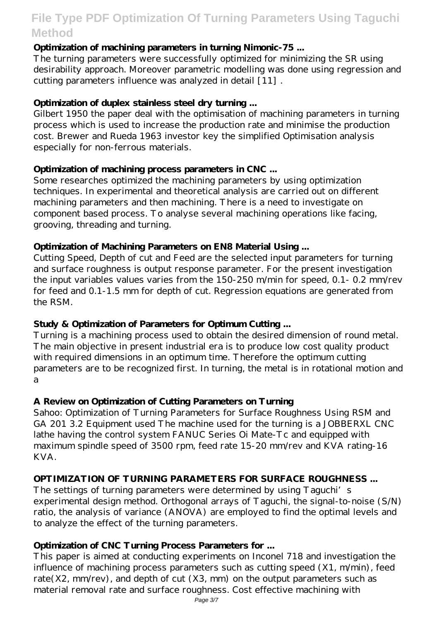### **Optimization of machining parameters in turning Nimonic-75 ...**

The turning parameters were successfully optimized for minimizing the SR using desirability approach. Moreover parametric modelling was done using regression and cutting parameters influence was analyzed in detail [11] .

### **Optimization of duplex stainless steel dry turning ...**

Gilbert 1950 the paper deal with the optimisation of machining parameters in turning process which is used to increase the production rate and minimise the production cost. Brewer and Rueda 1963 investor key the simplified Optimisation analysis especially for non-ferrous materials.

### **Optimization of machining process parameters in CNC ...**

Some researches optimized the machining parameters by using optimization techniques. In experimental and theoretical analysis are carried out on different machining parameters and then machining. There is a need to investigate on component based process. To analyse several machining operations like facing, grooving, threading and turning.

### **Optimization of Machining Parameters on EN8 Material Using ...**

Cutting Speed, Depth of cut and Feed are the selected input parameters for turning and surface roughness is output response parameter. For the present investigation the input variables values varies from the 150-250 m/min for speed, 0.1- 0.2 mm/rev for feed and 0.1-1.5 mm for depth of cut. Regression equations are generated from the RSM.

## **Study & Optimization of Parameters for Optimum Cutting ...**

Turning is a machining process used to obtain the desired dimension of round metal. The main objective in present industrial era is to produce low cost quality product with required dimensions in an optimum time. Therefore the optimum cutting parameters are to be recognized first. In turning, the metal is in rotational motion and a

#### **A Review on Optimization of Cutting Parameters on Turning**

Sahoo: Optimization of Turning Parameters for Surface Roughness Using RSM and GA 201 3.2 Equipment used The machine used for the turning is a JOBBERXL CNC lathe having the control system FANUC Series Oi Mate-Tc and equipped with maximum spindle speed of 3500 rpm, feed rate 15-20 mm/rev and KVA rating-16 KVA.

## **OPTIMIZATION OF TURNING PARAMETERS FOR SURFACE ROUGHNESS ...**

The settings of turning parameters were determined by using Taguchi's experimental design method. Orthogonal arrays of Taguchi, the signal-to-noise  $(S/N)$ ratio, the analysis of variance (ANOVA) are employed to find the optimal levels and to analyze the effect of the turning parameters.

## **Optimization of CNC Turning Process Parameters for ...**

This paper is aimed at conducting experiments on Inconel 718 and investigation the influence of machining process parameters such as cutting speed (X1, m/min), feed rate( $X2$ , mm/rev), and depth of cut ( $X3$ , mm) on the output parameters such as material removal rate and surface roughness. Cost effective machining with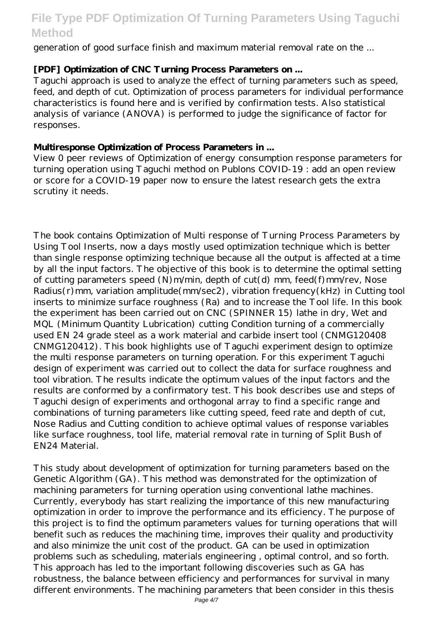generation of good surface finish and maximum material removal rate on the ...

## **[PDF] Optimization of CNC Turning Process Parameters on ...**

Taguchi approach is used to analyze the effect of turning parameters such as speed, feed, and depth of cut. Optimization of process parameters for individual performance characteristics is found here and is verified by confirmation tests. Also statistical analysis of variance (ANOVA) is performed to judge the significance of factor for responses.

### **Multiresponse Optimization of Process Parameters in ...**

View 0 peer reviews of Optimization of energy consumption response parameters for turning operation using Taguchi method on Publons COVID-19 : add an open review or score for a COVID-19 paper now to ensure the latest research gets the extra scrutiny it needs.

The book contains Optimization of Multi response of Turning Process Parameters by Using Tool Inserts, now a days mostly used optimization technique which is better than single response optimizing technique because all the output is affected at a time by all the input factors. The objective of this book is to determine the optimal setting of cutting parameters speed (N) m/min, depth of cut(d) mm, feed(f) mm/rev, Nose Radius(r)mm, variation amplitude(mm/sec2), vibration frequency(kHz) in Cutting tool inserts to minimize surface roughness (Ra) and to increase the Tool life. In this book the experiment has been carried out on CNC (SPINNER 15) lathe in dry, Wet and MQL (Minimum Quantity Lubrication) cutting Condition turning of a commercially used EN 24 grade steel as a work material and carbide insert tool (CNMG120408 CNMG120412). This book highlights use of Taguchi experiment design to optimize the multi response parameters on turning operation. For this experiment Taguchi design of experiment was carried out to collect the data for surface roughness and tool vibration. The results indicate the optimum values of the input factors and the results are conformed by a confirmatory test. This book describes use and steps of Taguchi design of experiments and orthogonal array to find a specific range and combinations of turning parameters like cutting speed, feed rate and depth of cut, Nose Radius and Cutting condition to achieve optimal values of response variables like surface roughness, tool life, material removal rate in turning of Split Bush of EN24 Material.

This study about development of optimization for turning parameters based on the Genetic Algorithm (GA). This method was demonstrated for the optimization of machining parameters for turning operation using conventional lathe machines. Currently, everybody has start realizing the importance of this new manufacturing optimization in order to improve the performance and its efficiency. The purpose of this project is to find the optimum parameters values for turning operations that will benefit such as reduces the machining time, improves their quality and productivity and also minimize the unit cost of the product. GA can be used in optimization problems such as scheduling, materials engineering , optimal control, and so forth. This approach has led to the important following discoveries such as GA has robustness, the balance between efficiency and performances for survival in many different environments. The machining parameters that been consider in this thesis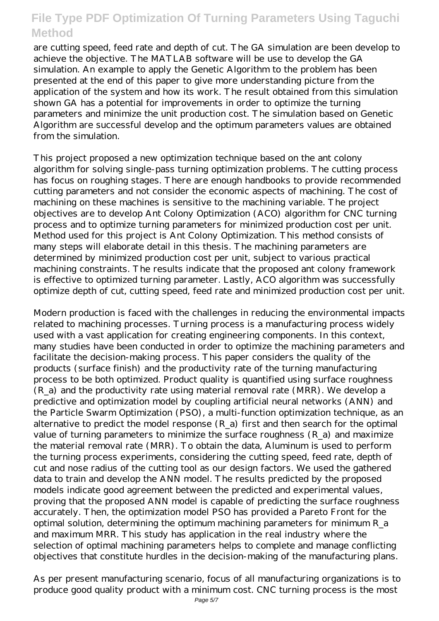are cutting speed, feed rate and depth of cut. The GA simulation are been develop to achieve the objective. The MATLAB software will be use to develop the GA simulation. An example to apply the Genetic Algorithm to the problem has been presented at the end of this paper to give more understanding picture from the application of the system and how its work. The result obtained from this simulation shown GA has a potential for improvements in order to optimize the turning parameters and minimize the unit production cost. The simulation based on Genetic Algorithm are successful develop and the optimum parameters values are obtained from the simulation.

This project proposed a new optimization technique based on the ant colony algorithm for solving single-pass turning optimization problems. The cutting process has focus on roughing stages. There are enough handbooks to provide recommended cutting parameters and not consider the economic aspects of machining. The cost of machining on these machines is sensitive to the machining variable. The project objectives are to develop Ant Colony Optimization (ACO) algorithm for CNC turning process and to optimize turning parameters for minimized production cost per unit. Method used for this project is Ant Colony Optimization. This method consists of many steps will elaborate detail in this thesis. The machining parameters are determined by minimized production cost per unit, subject to various practical machining constraints. The results indicate that the proposed ant colony framework is effective to optimized turning parameter. Lastly, ACO algorithm was successfully optimize depth of cut, cutting speed, feed rate and minimized production cost per unit.

Modern production is faced with the challenges in reducing the environmental impacts related to machining processes. Turning process is a manufacturing process widely used with a vast application for creating engineering components. In this context, many studies have been conducted in order to optimize the machining parameters and facilitate the decision-making process. This paper considers the quality of the products (surface finish) and the productivity rate of the turning manufacturing process to be both optimized. Product quality is quantified using surface roughness (R\_a) and the productivity rate using material removal rate (MRR). We develop a predictive and optimization model by coupling artificial neural networks (ANN) and the Particle Swarm Optimization (PSO), a multi-function optimization technique, as an alternative to predict the model response (R\_a) first and then search for the optimal value of turning parameters to minimize the surface roughness  $(R_a)$  and maximize the material removal rate (MRR). To obtain the data, Aluminum is used to perform the turning process experiments, considering the cutting speed, feed rate, depth of cut and nose radius of the cutting tool as our design factors. We used the gathered data to train and develop the ANN model. The results predicted by the proposed models indicate good agreement between the predicted and experimental values, proving that the proposed ANN model is capable of predicting the surface roughness accurately. Then, the optimization model PSO has provided a Pareto Front for the optimal solution, determining the optimum machining parameters for minimum R\_a and maximum MRR. This study has application in the real industry where the selection of optimal machining parameters helps to complete and manage conflicting objectives that constitute hurdles in the decision-making of the manufacturing plans.

As per present manufacturing scenario, focus of all manufacturing organizations is to produce good quality product with a minimum cost. CNC turning process is the most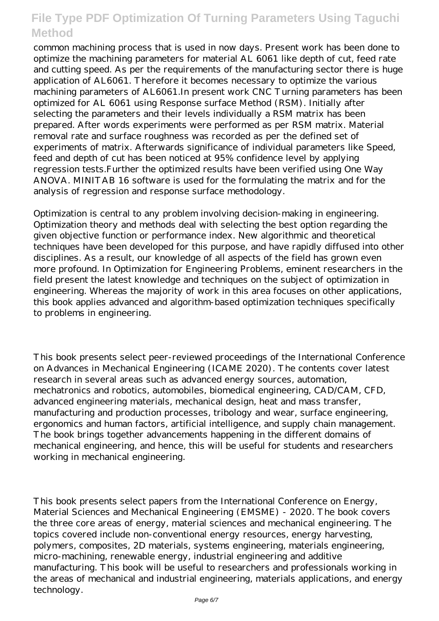common machining process that is used in now days. Present work has been done to optimize the machining parameters for material AL 6061 like depth of cut, feed rate and cutting speed. As per the requirements of the manufacturing sector there is huge application of AL6061. Therefore it becomes necessary to optimize the various machining parameters of AL6061.In present work CNC Turning parameters has been optimized for AL 6061 using Response surface Method (RSM). Initially after selecting the parameters and their levels individually a RSM matrix has been prepared. After words experiments were performed as per RSM matrix. Material removal rate and surface roughness was recorded as per the defined set of experiments of matrix. Afterwards significance of individual parameters like Speed, feed and depth of cut has been noticed at 95% confidence level by applying regression tests.Further the optimized results have been verified using One Way ANOVA. MINITAB 16 software is used for the formulating the matrix and for the analysis of regression and response surface methodology.

Optimization is central to any problem involving decision-making in engineering. Optimization theory and methods deal with selecting the best option regarding the given objective function or performance index. New algorithmic and theoretical techniques have been developed for this purpose, and have rapidly diffused into other disciplines. As a result, our knowledge of all aspects of the field has grown even more profound. In Optimization for Engineering Problems, eminent researchers in the field present the latest knowledge and techniques on the subject of optimization in engineering. Whereas the majority of work in this area focuses on other applications, this book applies advanced and algorithm-based optimization techniques specifically to problems in engineering.

This book presents select peer-reviewed proceedings of the International Conference on Advances in Mechanical Engineering (ICAME 2020). The contents cover latest research in several areas such as advanced energy sources, automation, mechatronics and robotics, automobiles, biomedical engineering, CAD/CAM, CFD, advanced engineering materials, mechanical design, heat and mass transfer, manufacturing and production processes, tribology and wear, surface engineering, ergonomics and human factors, artificial intelligence, and supply chain management. The book brings together advancements happening in the different domains of mechanical engineering, and hence, this will be useful for students and researchers working in mechanical engineering.

This book presents select papers from the International Conference on Energy, Material Sciences and Mechanical Engineering (EMSME) - 2020. The book covers the three core areas of energy, material sciences and mechanical engineering. The topics covered include non-conventional energy resources, energy harvesting, polymers, composites, 2D materials, systems engineering, materials engineering, micro-machining, renewable energy, industrial engineering and additive manufacturing. This book will be useful to researchers and professionals working in the areas of mechanical and industrial engineering, materials applications, and energy technology.